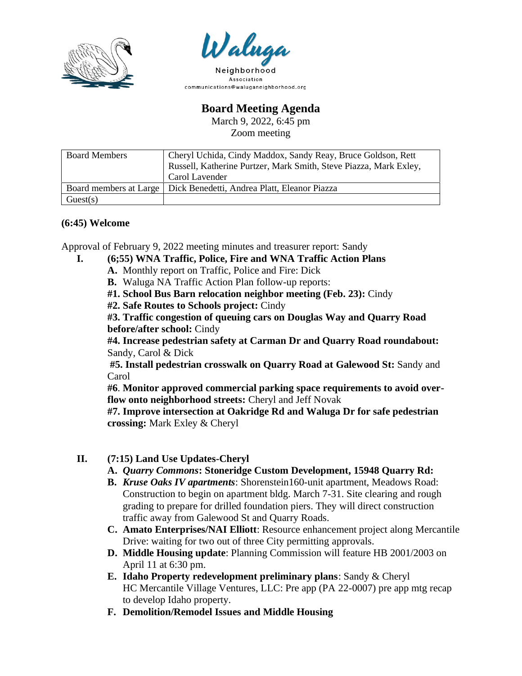



Association communications@waluganeighborhood.org

**Board Meeting Agenda**

March 9, 2022, 6:45 pm Zoom meeting

| <b>Board Members</b> | Cheryl Uchida, Cindy Maddox, Sandy Reay, Bruce Goldson, Rett<br>Russell, Katherine Purtzer, Mark Smith, Steve Piazza, Mark Exley,<br>Carol Lavender |
|----------------------|-----------------------------------------------------------------------------------------------------------------------------------------------------|
|                      | Board members at Large   Dick Benedetti, Andrea Platt, Eleanor Piazza                                                                               |
| Guest(s)             |                                                                                                                                                     |

## **(6:45) Welcome**

Approval of February 9, 2022 meeting minutes and treasurer report: Sandy

- **I. (6;55) WNA Traffic, Police, Fire and WNA Traffic Action Plans** 
	- **A.** Monthly report on Traffic, Police and Fire: Dick
	- **B.** Waluga NA Traffic Action Plan follow-up reports:
	- **#1. School Bus Barn relocation neighbor meeting (Feb. 23):** Cindy
	- **#2. Safe Routes to Schools project:** Cindy

**#3. Traffic congestion of queuing cars on Douglas Way and Quarry Road before/after school:** Cindy

**#4. Increase pedestrian safety at Carman Dr and Quarry Road roundabout:**  Sandy, Carol & Dick

**#5. Install pedestrian crosswalk on Quarry Road at Galewood St:** Sandy and Carol

**#6**. **Monitor approved commercial parking space requirements to avoid overflow onto neighborhood streets:** Cheryl and Jeff Novak

**#7. Improve intersection at Oakridge Rd and Waluga Dr for safe pedestrian crossing:** Mark Exley & Cheryl

- **II. (7:15) Land Use Updates-Cheryl**
	- **A.** *Quarry Commons***: Stoneridge Custom Development, 15948 Quarry Rd:**
	- **B.** *Kruse Oaks IV apartments*: Shorenstein160-unit apartment, Meadows Road: Construction to begin on apartment bldg. March 7-31. Site clearing and rough grading to prepare for drilled foundation piers. They will direct construction traffic away from Galewood St and Quarry Roads.
	- **C. Amato Enterprises/NAI Elliott**: Resource enhancement project along Mercantile Drive: waiting for two out of three City permitting approvals.
	- **D. Middle Housing update**: Planning Commission will feature HB 2001/2003 on April 11 at 6:30 pm.
	- **E. Idaho Property redevelopment preliminary plans**: Sandy & Cheryl HC Mercantile Village Ventures, LLC: Pre app (PA 22-0007) pre app mtg recap to develop Idaho property.
	- **F. Demolition/Remodel Issues and Middle Housing**